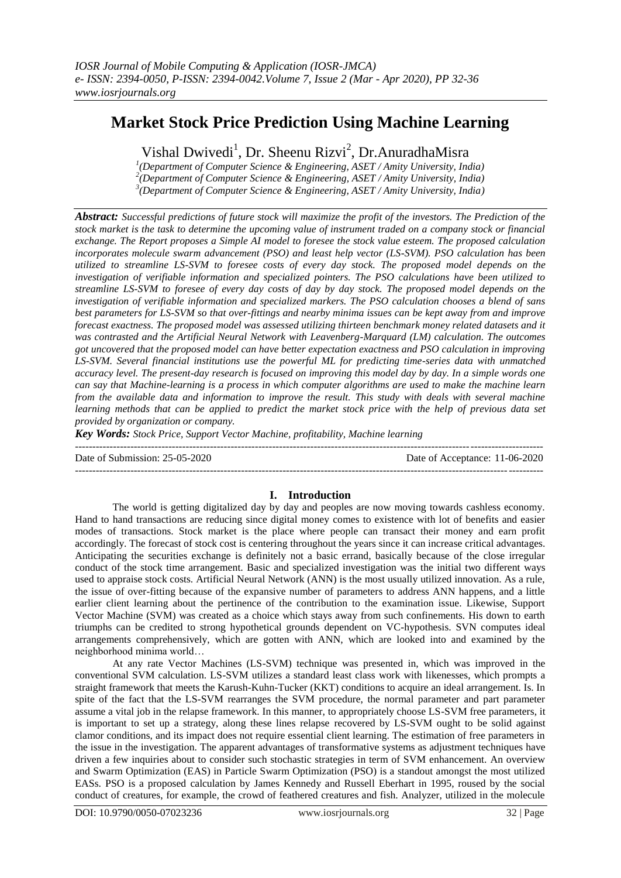# **Market Stock Price Prediction Using Machine Learning**

Vishal Dwivedi<sup>1</sup>, Dr. Sheenu Rizvi<sup>2</sup>, Dr.AnuradhaMisra

*1 (Department of Computer Science & Engineering, ASET / Amity University, India) 2 (Department of Computer Science & Engineering, ASET / Amity University, India) 3 (Department of Computer Science & Engineering, ASET / Amity University, India)*

*Abstract: Successful predictions of future stock will maximize the profit of the investors. The Prediction of the stock market is the task to determine the upcoming value of instrument traded on a company stock or financial exchange. The Report proposes a Simple AI model to foresee the stock value esteem. The proposed calculation incorporates molecule swarm advancement (PSO) and least help vector (LS-SVM). PSO calculation has been utilized to streamline LS-SVM to foresee costs of every day stock. The proposed model depends on the investigation of verifiable information and specialized pointers. The PSO calculations have been utilized to streamline LS-SVM to foresee of every day costs of day by day stock. The proposed model depends on the investigation of verifiable information and specialized markers. The PSO calculation chooses a blend of sans best parameters for LS-SVM so that over-fittings and nearby minima issues can be kept away from and improve forecast exactness. The proposed model was assessed utilizing thirteen benchmark money related datasets and it was contrasted and the Artificial Neural Network with Leavenberg-Marquard (LM) calculation. The outcomes got uncovered that the proposed model can have better expectation exactness and PSO calculation in improving LS-SVM. Several financial institutions use the powerful ML for predicting time-series data with unmatched accuracy level. The present-day research is focused on improving this model day by day. In a simple words one can say that Machine-learning is a process in which computer algorithms are used to make the machine learn from the available data and information to improve the result. This study with deals with several machine learning methods that can be applied to predict the market stock price with the help of previous data set provided by organization or company.* 

*Key Words: Stock Price, Support Vector Machine, profitability, Machine learning* 

---------------------------------------------------------------------------------------------------------------------------------------

Date of Submission: 25-05-2020 Date of Acceptance: 11-06-2020

# **I. Introduction**

 $-1\leq i\leq n-1$ 

The world is getting digitalized day by day and peoples are now moving towards cashless economy. Hand to hand transactions are reducing since digital money comes to existence with lot of benefits and easier modes of transactions. Stock market is the place where people can transact their money and earn profit accordingly. The forecast of stock cost is centering throughout the years since it can increase critical advantages. Anticipating the securities exchange is definitely not a basic errand, basically because of the close irregular conduct of the stock time arrangement. Basic and specialized investigation was the initial two different ways used to appraise stock costs. Artificial Neural Network (ANN) is the most usually utilized innovation. As a rule, the issue of over-fitting because of the expansive number of parameters to address ANN happens, and a little earlier client learning about the pertinence of the contribution to the examination issue. Likewise, Support Vector Machine (SVM) was created as a choice which stays away from such confinements. His down to earth triumphs can be credited to strong hypothetical grounds dependent on VC-hypothesis. SVN computes ideal arrangements comprehensively, which are gotten with ANN, which are looked into and examined by the neighborhood minima world…

At any rate Vector Machines (LS-SVM) technique was presented in, which was improved in the conventional SVM calculation. LS-SVM utilizes a standard least class work with likenesses, which prompts a straight framework that meets the Karush-Kuhn-Tucker (KKT) conditions to acquire an ideal arrangement. Is. In spite of the fact that the LS-SVM rearranges the SVM procedure, the normal parameter and part parameter assume a vital job in the relapse framework. In this manner, to appropriately choose LS-SVM free parameters, it is important to set up a strategy, along these lines relapse recovered by LS-SVM ought to be solid against clamor conditions, and its impact does not require essential client learning. The estimation of free parameters in the issue in the investigation. The apparent advantages of transformative systems as adjustment techniques have driven a few inquiries about to consider such stochastic strategies in term of SVM enhancement. An overview and Swarm Optimization (EAS) in Particle Swarm Optimization (PSO) is a standout amongst the most utilized EASs. PSO is a proposed calculation by James Kennedy and Russell Eberhart in 1995, roused by the social conduct of creatures, for example, the crowd of feathered creatures and fish. Analyzer, utilized in the molecule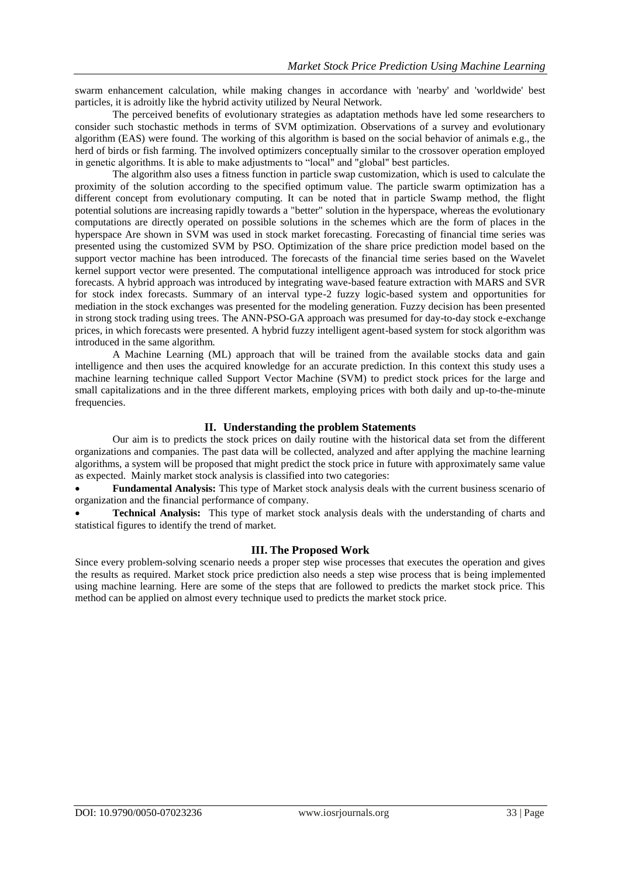swarm enhancement calculation, while making changes in accordance with 'nearby' and 'worldwide' best particles, it is adroitly like the hybrid activity utilized by Neural Network.

The perceived benefits of evolutionary strategies as adaptation methods have led some researchers to consider such stochastic methods in terms of SVM optimization. Observations of a survey and evolutionary algorithm (EAS) were found. The working of this algorithm is based on the social behavior of animals e.g., the herd of birds or fish farming. The involved optimizers conceptually similar to the crossover operation employed in genetic algorithms. It is able to make adjustments to "local" and "global" best particles.

The algorithm also uses a fitness function in particle swap customization, which is used to calculate the proximity of the solution according to the specified optimum value. The particle swarm optimization has a different concept from evolutionary computing. It can be noted that in particle Swamp method, the flight potential solutions are increasing rapidly towards a "better" solution in the hyperspace, whereas the evolutionary computations are directly operated on possible solutions in the schemes which are the form of places in the hyperspace Are shown in SVM was used in stock market forecasting. Forecasting of financial time series was presented using the customized SVM by PSO. Optimization of the share price prediction model based on the support vector machine has been introduced. The forecasts of the financial time series based on the Wavelet kernel support vector were presented. The computational intelligence approach was introduced for stock price forecasts. A hybrid approach was introduced by integrating wave-based feature extraction with MARS and SVR for stock index forecasts. Summary of an interval type-2 fuzzy logic-based system and opportunities for mediation in the stock exchanges was presented for the modeling generation. Fuzzy decision has been presented in strong stock trading using trees. The ANN-PSO-GA approach was presumed for day-to-day stock e-exchange prices, in which forecasts were presented. A hybrid fuzzy intelligent agent-based system for stock algorithm was introduced in the same algorithm.

A Machine Learning (ML) approach that will be trained from the available stocks data and gain intelligence and then uses the acquired knowledge for an accurate prediction. In this context this study uses a machine learning technique called Support Vector Machine (SVM) to predict stock prices for the large and small capitalizations and in the three different markets, employing prices with both daily and up-to-the-minute frequencies.

## **II. Understanding the problem Statements**

Our aim is to predicts the stock prices on daily routine with the historical data set from the different organizations and companies. The past data will be collected, analyzed and after applying the machine learning algorithms, a system will be proposed that might predict the stock price in future with approximately same value as expected. Mainly market stock analysis is classified into two categories:

 **Fundamental Analysis:** This type of Market stock analysis deals with the current business scenario of organization and the financial performance of company.

 **Technical Analysis:** This type of market stock analysis deals with the understanding of charts and statistical figures to identify the trend of market.

## **III. The Proposed Work**

Since every problem-solving scenario needs a proper step wise processes that executes the operation and gives the results as required. Market stock price prediction also needs a step wise process that is being implemented using machine learning. Here are some of the steps that are followed to predicts the market stock price. This method can be applied on almost every technique used to predicts the market stock price.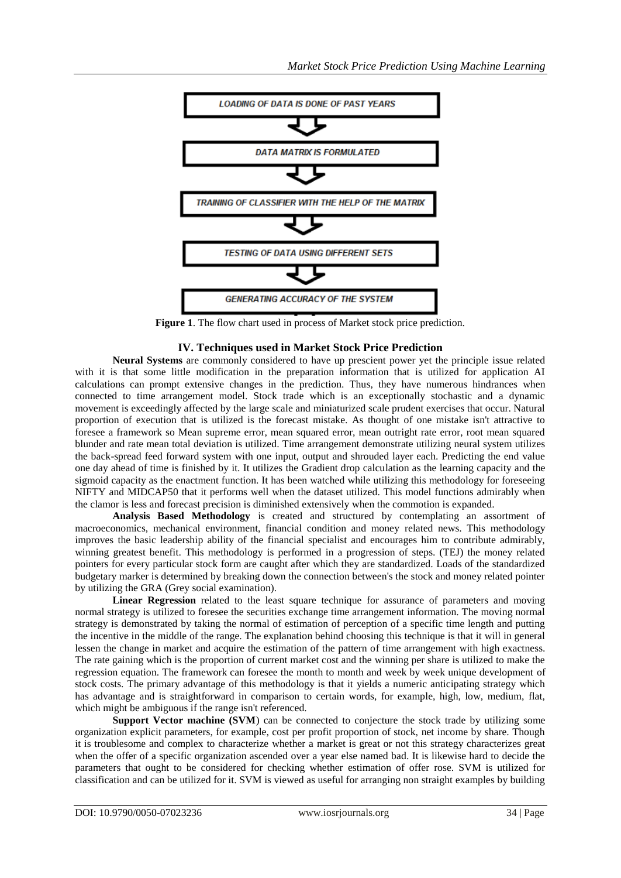

**Figure 1**. The flow chart used in process of Market stock price prediction.

#### **IV. Techniques used in Market Stock Price Prediction**

**Neural Systems** are commonly considered to have up prescient power yet the principle issue related with it is that some little modification in the preparation information that is utilized for application AI calculations can prompt extensive changes in the prediction. Thus, they have numerous hindrances when connected to time arrangement model. Stock trade which is an exceptionally stochastic and a dynamic movement is exceedingly affected by the large scale and miniaturized scale prudent exercises that occur. Natural proportion of execution that is utilized is the forecast mistake. As thought of one mistake isn't attractive to foresee a framework so Mean supreme error, mean squared error, mean outright rate error, root mean squared blunder and rate mean total deviation is utilized. Time arrangement demonstrate utilizing neural system utilizes the back-spread feed forward system with one input, output and shrouded layer each. Predicting the end value one day ahead of time is finished by it. It utilizes the Gradient drop calculation as the learning capacity and the sigmoid capacity as the enactment function. It has been watched while utilizing this methodology for foreseeing NIFTY and MIDCAP50 that it performs well when the dataset utilized. This model functions admirably when the clamor is less and forecast precision is diminished extensively when the commotion is expanded.

**Analysis Based Methodology** is created and structured by contemplating an assortment of macroeconomics, mechanical environment, financial condition and money related news. This methodology improves the basic leadership ability of the financial specialist and encourages him to contribute admirably, winning greatest benefit. This methodology is performed in a progression of steps. (TEJ) the money related pointers for every particular stock form are caught after which they are standardized. Loads of the standardized budgetary marker is determined by breaking down the connection between's the stock and money related pointer by utilizing the GRA (Grey social examination).

**Linear Regression** related to the least square technique for assurance of parameters and moving normal strategy is utilized to foresee the securities exchange time arrangement information. The moving normal strategy is demonstrated by taking the normal of estimation of perception of a specific time length and putting the incentive in the middle of the range. The explanation behind choosing this technique is that it will in general lessen the change in market and acquire the estimation of the pattern of time arrangement with high exactness. The rate gaining which is the proportion of current market cost and the winning per share is utilized to make the regression equation. The framework can foresee the month to month and week by week unique development of stock costs. The primary advantage of this methodology is that it yields a numeric anticipating strategy which has advantage and is straightforward in comparison to certain words, for example, high, low, medium, flat, which might be ambiguous if the range isn't referenced.

**Support Vector machine (SVM)** can be connected to conjecture the stock trade by utilizing some organization explicit parameters, for example, cost per profit proportion of stock, net income by share. Though it is troublesome and complex to characterize whether a market is great or not this strategy characterizes great when the offer of a specific organization ascended over a year else named bad. It is likewise hard to decide the parameters that ought to be considered for checking whether estimation of offer rose. SVM is utilized for classification and can be utilized for it. SVM is viewed as useful for arranging non straight examples by building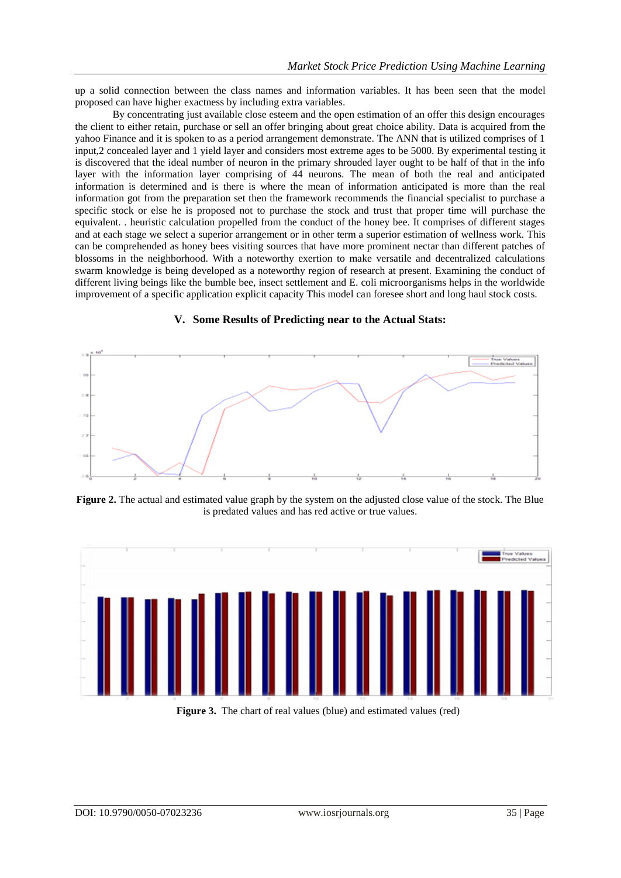up a solid connection between the class names and information variables. It has been seen that the model proposed can have higher exactness by including extra variables.

By concentrating just available close esteem and the open estimation of an offer this design encourages the client to either retain, purchase or sell an offer bringing about great choice ability. Data is acquired from the yahoo Finance and it is spoken to as a period arrangement demonstrate. The ANN that is utilized comprises of 1 input,2 concealed layer and 1 yield layer and considers most extreme ages to be 5000. By experimental testing it is discovered that the ideal number of neuron in the primary shrouded layer ought to be half of that in the info layer with the information layer comprising of 44 neurons. The mean of both the real and anticipated information is determined and is there is where the mean of information anticipated is more than the real information got from the preparation set then the framework recommends the financial specialist to purchase a specific stock or else he is proposed not to purchase the stock and trust that proper time will purchase the equivalent. . heuristic calculation propelled from the conduct of the honey bee. It comprises of different stages and at each stage we select a superior arrangement or in other term a superior estimation of wellness work. This can be comprehended as honey bees visiting sources that have more prominent nectar than different patches of blossoms in the neighborhood. With a noteworthy exertion to make versatile and decentralized calculations swarm knowledge is being developed as a noteworthy region of research at present. Examining the conduct of different living beings like the bumble bee, insect settlement and E. coli microorganisms helps in the worldwide improvement of a specific application explicit capacity This model can foresee short and long haul stock costs.



#### **V. Some Results of Predicting near to the Actual Stats:**

**Figure 2.** The actual and estimated value graph by the system on the adjusted close value of the stock. The Blue is predated values and has red active or true values.



**Figure 3.** The chart of real values (blue) and estimated values (red)